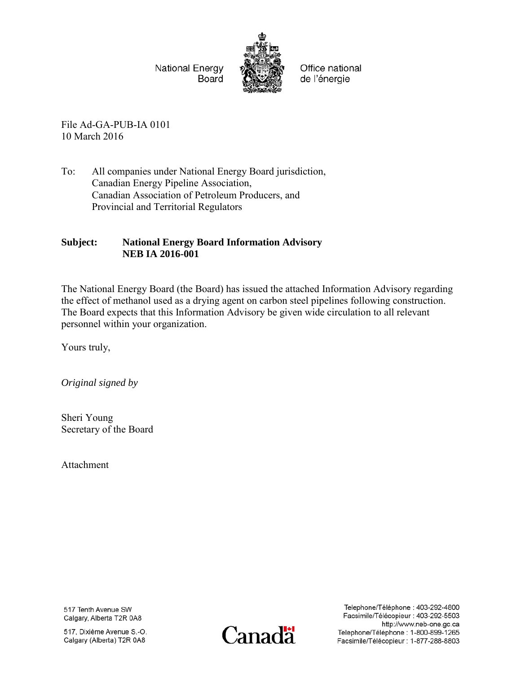National Energy Board



Office national de l'énergie

File Ad-GA-PUB-IA 0101 10 March 2016

To: All companies under National Energy Board jurisdiction, Canadian Energy Pipeline Association, Canadian Association of Petroleum Producers, and Provincial and Territorial Regulators

### **Subject: National Energy Board Information Advisory NEB IA 2016-001**

The National Energy Board (the Board) has issued the attached Information Advisory regarding the effect of methanol used as a drying agent on carbon steel pipelines following construction. The Board expects that this Information Advisory be given wide circulation to all relevant personnel within your organization.

Yours truly,

*Original signed by* 

Sheri Young Secretary of the Board

Attachment

517 Tenth Avenue SW Calgary, Alberta T2R 0A8

517, Dixième Avenue S.-O. Calgary (Alberta) T2R 0A8



Telephone/Téléphone: 403-292-4800 Facsimile/Télécopieur : 403-292-5503 http://www.neb-one.gc.ca Telephone/Téléphone: 1-800-899-1265 Facsimile/Télécopieur : 1-877-288-8803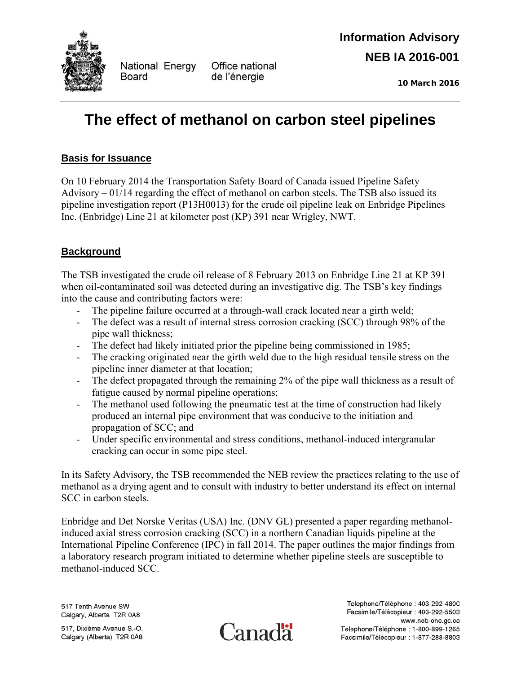

National Energy **Board** 

Office national de l'énergie

10 March 2016

# **The effect of methanol on carbon steel pipelines**

## **Basis for Issuance**

On 10 February 2014 the Transportation Safety Board of Canada issued Pipeline Safety Advisory – 01/14 regarding the effect of methanol on carbon steels. The TSB also issued its pipeline investigation report (P13H0013) for the crude oil pipeline leak on Enbridge Pipelines Inc. (Enbridge) Line 21 at kilometer post (KP) 391 near Wrigley, NWT.

## **Background**

The TSB investigated the crude oil release of 8 February 2013 on Enbridge Line 21 at KP 391 when oil-contaminated soil was detected during an investigative dig. The TSB's key findings into the cause and contributing factors were:

- The pipeline failure occurred at a through-wall crack located near a girth weld;
- The defect was a result of internal stress corrosion cracking (SCC) through 98% of the pipe wall thickness;
- The defect had likely initiated prior the pipeline being commissioned in 1985;
- The cracking originated near the girth weld due to the high residual tensile stress on the pipeline inner diameter at that location;
- The defect propagated through the remaining 2% of the pipe wall thickness as a result of fatigue caused by normal pipeline operations;
- The methanol used following the pneumatic test at the time of construction had likely produced an internal pipe environment that was conducive to the initiation and propagation of SCC; and
- Under specific environmental and stress conditions, methanol-induced intergranular cracking can occur in some pipe steel.

In its Safety Advisory, the TSB recommended the NEB review the practices relating to the use of methanol as a drying agent and to consult with industry to better understand its effect on internal SCC in carbon steels.

Enbridge and Det Norske Veritas (USA) Inc. (DNV GL) presented a paper regarding methanolinduced axial stress corrosion cracking (SCC) in a northern Canadian liquids pipeline at the International Pipeline Conference (IPC) in fall 2014. The paper outlines the major findings from a laboratory research program initiated to determine whether pipeline steels are susceptible to methanol-induced SCC.

517 Tenth Avenue SW Calgary, Alberta T2R 0A8

517, Dixième Avenue S.-O. Calgary (Alberta) T2R 0A8



Telephone/Téléphone: 403-292-4800 Facsimile/Télécopieur : 403-292-5503 www.neb-one.gc.ca Telephone/Téléphone : 1-800-899-1265 Facsimile/Télécopieur : 1-877-288-8803